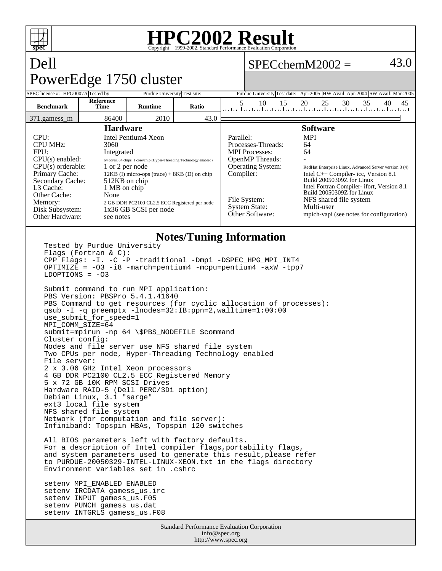

## **HPC2002 Result**  $\overline{\text{Copyright}} \textcircled{\scriptsize{1999-2002, Standard Performance}}$  1

 $SPECchemM2002 =$  43.0

## Dell PowerEdge 1750 cluster

setenv INPUT gamess\_us.F05 setenv PUNCH gamess\_us.dat setenv INTGRLS gamess\_us.F08

| SPEC license #: HPG0007A Tested by:                                                                                                                                                                                                                                                                                                                                                                                                                                                                                                          |                                                         | TOWOLLUGO TIJU ORGANI<br>Purdue University Test site: |       |                                                                                                                                                                                        | Purdue University Test date: Apr-2005 HW Avail: Apr-2004 SW Avail: Mar-2005                                                                                                                                                                                                                                                              |
|----------------------------------------------------------------------------------------------------------------------------------------------------------------------------------------------------------------------------------------------------------------------------------------------------------------------------------------------------------------------------------------------------------------------------------------------------------------------------------------------------------------------------------------------|---------------------------------------------------------|-------------------------------------------------------|-------|----------------------------------------------------------------------------------------------------------------------------------------------------------------------------------------|------------------------------------------------------------------------------------------------------------------------------------------------------------------------------------------------------------------------------------------------------------------------------------------------------------------------------------------|
| <b>Benchmark</b>                                                                                                                                                                                                                                                                                                                                                                                                                                                                                                                             | Reference<br>Time                                       | <b>Runtime</b>                                        | Ratio | 5<br>10<br>15                                                                                                                                                                          | 20<br>25<br>30<br>35<br>40<br>45<br>المتابينا بتارينا وتراوينا وتراوينا وتراوينا وتراوينا وتراوينا وتراوينا وتراويا وراويا                                                                                                                                                                                                               |
| 371.gamess_m                                                                                                                                                                                                                                                                                                                                                                                                                                                                                                                                 | 86400                                                   | 2010                                                  | 43.0  |                                                                                                                                                                                        |                                                                                                                                                                                                                                                                                                                                          |
| <b>Hardware</b><br>CPU:<br>Intel Pentium4 Xeon<br><b>CPU MHz:</b><br>3060<br>FPU:<br>Integrated<br>$CPU(s)$ enabled:<br>64 cores, 64 chips, 1 core/chip (Hyper-Threading Technology enabled)<br>$CPU(s)$ orderable:<br>1 or 2 per node<br>Primary Cache:<br>$12KB$ (I) micro-ops (trace) + 8KB (D) on chip<br>Secondary Cache:<br>512KB on chip<br>L3 Cache:<br>1 MB on chip<br>Other Cache:<br>None<br>Memory:<br>2 GB DDR PC2100 CL2.5 ECC Registered per node<br>1x36 GB SCSI per node<br>Disk Subsystem:<br>Other Hardware:<br>see notes |                                                         |                                                       |       | Parallel:<br>Processes-Threads:<br><b>MPI</b> Processes:<br><b>OpenMP</b> Threads:<br><b>Operating System:</b><br>Compiler:<br>File System:<br><b>System State:</b><br>Other Software: | <b>Software</b><br><b>MPI</b><br>64<br>64<br>RedHat Enterprise Linux, Advanced Server version 3 (4)<br>Intel $C++$ Compiler-icc, Version 8.1<br>Build 20050309Z for Linux<br>Intel Fortran Compiler- ifort, Version 8.1<br>Build 20050309Z for Linux<br>NFS shared file system<br>Multi-user<br>mpich-vapi (see notes for configuration) |
| $LDOPTIONS = -03$                                                                                                                                                                                                                                                                                                                                                                                                                                                                                                                            | Tested by Purdue University<br>Flags (Fortran $\& C$ ): |                                                       |       | <b>Notes/Tuning Information</b><br>CPP Flags: -I. -C -P -traditional -Dmpi -DSPEC_HPG_MPI_INT4<br>OPTIMIZE = $-03 - i8$ -march=pentium4 -mcpu=pentium4 -axW -tpp7                      |                                                                                                                                                                                                                                                                                                                                          |

Submit command to run MPI application: PBS Version: PBSPro 5.4.1.41640 PBS Command to get resources (for cyclic allocation of processes): qsub -I -q preemptx -lnodes=32:IB:ppn=2,walltime=1:00:00 use\_submit\_for\_speed=1 MPI\_COMM\_SIZE=64 submit=mpirun -np 64 \\$PBS\_NODEFILE \$command Cluster config: Nodes and file server use NFS shared file system Two CPUs per node, Hyper-Threading Technology enabled File server: 2 x 3.06 GHz Intel Xeon processors 4 GB DDR PC2100 CL2.5 ECC Registered Memory 5 x 72 GB 10K RPM SCSI Drives Hardware RAID-5 (Dell PERC/3Di option) Debian Linux, 3.1 "sarge" ext3 local file system NFS shared file system Network (for computation and file server): Infiniband: Topspin HBAs, Topspin 120 switches All BIOS parameters left with factory defaults. For a description of Intel compiler flags, portability flags, and system parameters used to generate this result, please refer to PURDUE-20050329-INTEL-LINUX-XEON.txt in the flags directory Environment variables set in .cshrc setenv MPI\_ENABLED ENABLED setenv IRCDATA gamess\_us.irc

> Standard Performance Evaluation Corporation info@spec.org http://www.spec.org